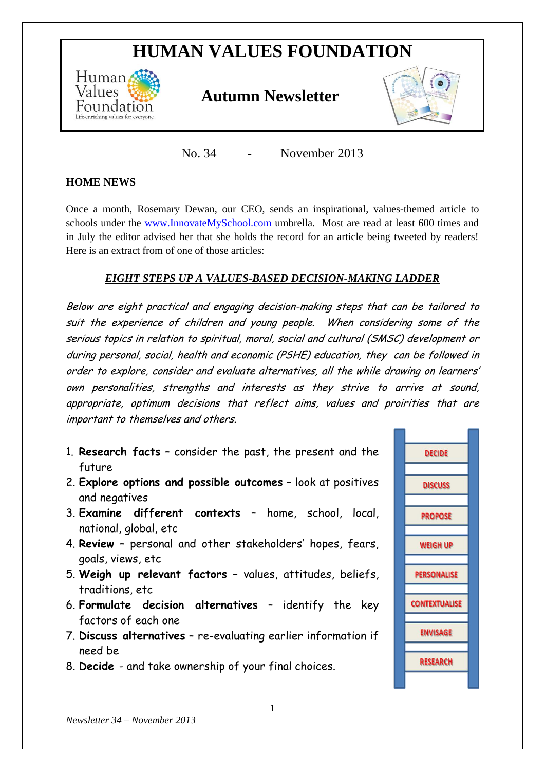# **HUMAN VALUES FOUNDATION**



# **Autumn Newsletter**

No. 34 - November 2013

### **HOME NEWS**

Once a month, Rosemary Dewan, our CEO, sends an inspirational, values-themed article to schools under the [www.InnovateMySchool.com](http://www.innovatemyschool.com/) umbrella. Most are read at least 600 times and in July the editor advised her that she holds the record for an article being tweeted by readers! Here is an extract from of one of those articles:

# *EIGHT STEPS UP A VALUES-BASED DECISION-MAKING LADDER*

Below are eight practical and engaging decision-making steps that can be tailored to suit the experience of children and young people. When considering some of the serious topics in relation to spiritual, moral, social and cultural (SMSC) development or during personal, social, health and economic (PSHE) education, they can be followed in order to explore, consider and evaluate alternatives, all the while drawing on learners' own personalities, strengths and interests as they strive to arrive at sound, appropriate, optimum decisions that reflect aims, values and proirities that are important to themselves and others.

- 1. **Research facts** consider the past, the present and the future
- 2. **Explore options and possible outcomes** look at positives and negatives
- 3. **Examine different contexts** home, school, local, national, global, etc
- 4. **Review** personal and other stakeholders' hopes, fears, goals, views, etc
- 5. **Weigh up relevant factors** values, attitudes, beliefs, traditions, etc
- 6. **Formulate decision alternatives** identify the key factors of each one
- 7. **Discuss alternatives** re-evaluating earlier information if need be
- 8. **Decide**  and take ownership of your final choices.

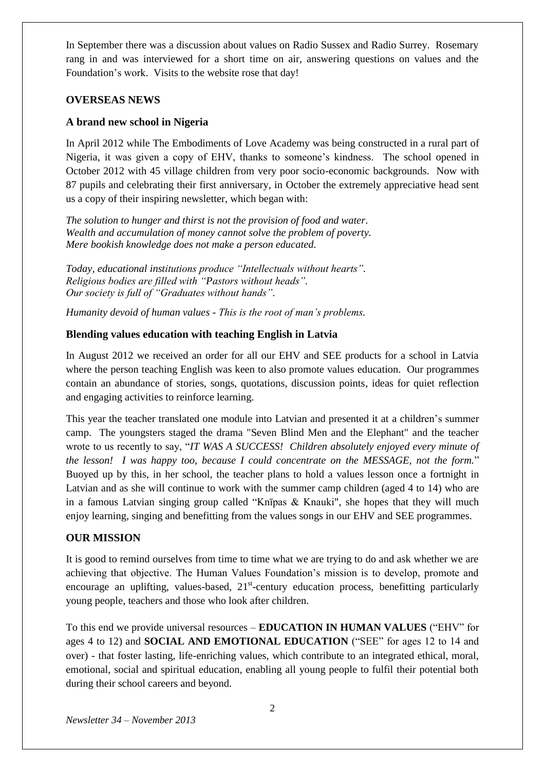In September there was a discussion about values on Radio Sussex and Radio Surrey. Rosemary rang in and was interviewed for a short time on air, answering questions on values and the Foundation's work. Visits to the website rose that day!

#### **OVERSEAS NEWS**

## **A brand new school in Nigeria**

In April 2012 while The Embodiments of Love Academy was being constructed in a rural part of Nigeria, it was given a copy of EHV, thanks to someone's kindness. The school opened in October 2012 with 45 village children from very poor socio-economic backgrounds. Now with 87 pupils and celebrating their first anniversary, in October the extremely appreciative head sent us a copy of their inspiring newsletter, which began with:

*The solution to hunger and thirst is not the provision of food and water. Wealth and accumulation of money cannot solve the problem of poverty. Mere bookish knowledge does not make a person educated.*

*Today, educational institutions produce "Intellectuals without hearts". Religious bodies are filled with "Pastors without heads". Our society is full of "Graduates without hands".*

*Humanity devoid of human values - This is the root of man's problems.*

# **Blending values education with teaching English in Latvia**

In August 2012 we received an order for all our EHV and SEE products for a school in Latvia where the person teaching English was keen to also promote values education. Our programmes contain an abundance of stories, songs, quotations, discussion points, ideas for quiet reflection and engaging activities to reinforce learning.

This year the teacher translated one module into Latvian and presented it at a children's summer camp. The youngsters staged the drama "Seven Blind Men and the Elephant" and the teacher wrote to us recently to say, "*IT WAS A SUCCESS! Children absolutely enjoyed every minute of the lesson! I was happy too, because I could concentrate on the MESSAGE, not the form.*" Buoyed up by this, in her school, the teacher plans to hold a values lesson once a fortnight in Latvian and as she will continue to work with the summer camp children (aged 4 to 14) who are in a famous Latvian singing group called "Knīpas & Knauki", she hopes that they will much enjoy learning, singing and benefitting from the values songs in our EHV and SEE programmes.

# **OUR MISSION**

It is good to remind ourselves from time to time what we are trying to do and ask whether we are achieving that objective. The Human Values Foundation's mission is to develop, promote and encourage an uplifting, values-based,  $21<sup>st</sup>$ -century education process, benefitting particularly young people, teachers and those who look after children.

To this end we provide universal resources – **EDUCATION IN HUMAN VALUES** ("EHV" for ages 4 to 12) and **SOCIAL AND EMOTIONAL EDUCATION** ("SEE" for ages 12 to 14 and over) - that foster lasting, life-enriching values, which contribute to an integrated ethical, moral, emotional, social and spiritual education, enabling all young people to fulfil their potential both during their school careers and beyond.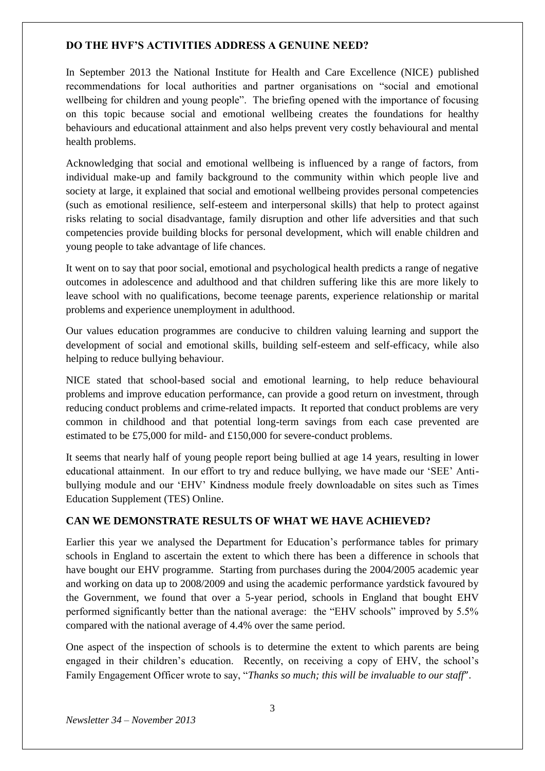### **DO THE HVF'S ACTIVITIES ADDRESS A GENUINE NEED?**

In September 2013 the National Institute for Health and Care Excellence (NICE) published recommendations for local authorities and partner organisations on "social and emotional wellbeing for children and young people". The briefing opened with the importance of focusing on this topic because social and emotional wellbeing creates the foundations for healthy behaviours and educational attainment and also helps prevent very costly behavioural and mental health problems.

Acknowledging that social and emotional wellbeing is influenced by a range of factors, from individual make-up and family background to the community within which people live and society at large, it explained that social and emotional wellbeing provides personal competencies (such as emotional resilience, self-esteem and interpersonal skills) that help to protect against risks relating to social disadvantage, family disruption and other life adversities and that such competencies provide building blocks for personal development, which will enable children and young people to take advantage of life chances.

It went on to say that poor social, emotional and psychological health predicts a range of negative outcomes in adolescence and adulthood and that children suffering like this are more likely to leave school with no qualifications, become teenage parents, experience relationship or marital problems and experience unemployment in adulthood.

Our values education programmes are conducive to children valuing learning and support the development of social and emotional skills, building self-esteem and self-efficacy, while also helping to reduce bullying behaviour.

NICE stated that school-based social and emotional learning, to help reduce behavioural problems and improve education performance, can provide a good return on investment, through reducing conduct problems and crime-related impacts. It reported that conduct problems are very common in childhood and that potential long-term savings from each case prevented are estimated to be £75,000 for mild- and £150,000 for severe-conduct problems.

It seems that nearly half of young people report being bullied at age 14 years, resulting in lower educational attainment. In our effort to try and reduce bullying, we have made our 'SEE' Antibullying module and our 'EHV' Kindness module freely downloadable on sites such as Times Education Supplement (TES) Online.

# **CAN WE DEMONSTRATE RESULTS OF WHAT WE HAVE ACHIEVED?**

Earlier this year we analysed the Department for Education's performance tables for primary schools in England to ascertain the extent to which there has been a difference in schools that have bought our EHV programme. Starting from purchases during the 2004/2005 academic year and working on data up to 2008/2009 and using the academic performance yardstick favoured by the Government, we found that over a 5-year period, schools in England that bought EHV performed significantly better than the national average: the "EHV schools" improved by 5.5% compared with the national average of 4.4% over the same period.

One aspect of the inspection of schools is to determine the extent to which parents are being engaged in their children's education. Recently, on receiving a copy of EHV, the school's Family Engagement Officer wrote to say, "*Thanks so much; this will be invaluable to our staff*".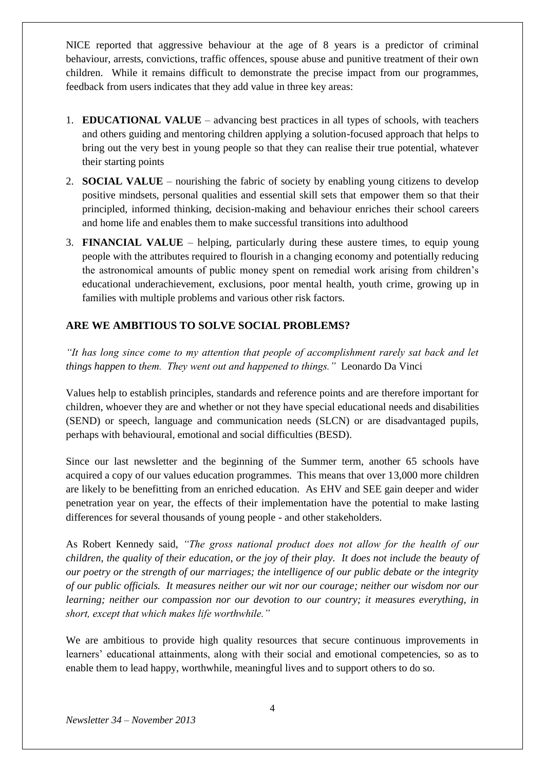NICE reported that aggressive behaviour at the age of 8 years is a predictor of criminal behaviour, arrests, convictions, traffic offences, spouse abuse and punitive treatment of their own children. While it remains difficult to demonstrate the precise impact from our programmes, feedback from users indicates that they add value in three key areas:

- 1. **EDUCATIONAL VALUE** advancing best practices in all types of schools, with teachers and others guiding and mentoring children applying a solution-focused approach that helps to bring out the very best in young people so that they can realise their true potential, whatever their starting points
- 2. **SOCIAL VALUE** nourishing the fabric of society by enabling young citizens to develop positive mindsets, personal qualities and essential skill sets that empower them so that their principled, informed thinking, decision-making and behaviour enriches their school careers and home life and enables them to make successful transitions into adulthood
- 3. **FINANCIAL VALUE** helping, particularly during these austere times, to equip young people with the attributes required to flourish in a changing economy and potentially reducing the astronomical amounts of public money spent on remedial work arising from children's educational underachievement, exclusions, poor mental health, youth crime, growing up in families with multiple problems and various other risk factors.

# **ARE WE AMBITIOUS TO SOLVE SOCIAL PROBLEMS?**

*"It has long since come to my attention that people of accomplishment rarely sat back and let things happen to them. They went out and happened to things."* Leonardo Da Vinci

Values help to establish principles, standards and reference points and are therefore important for children, whoever they are and whether or not they have special educational needs and disabilities (SEND) or speech, language and communication needs (SLCN) or are disadvantaged pupils, perhaps with behavioural, emotional and social difficulties (BESD).

Since our last newsletter and the beginning of the Summer term, another 65 schools have acquired a copy of our values education programmes. This means that over 13,000 more children are likely to be benefitting from an enriched education. As EHV and SEE gain deeper and wider penetration year on year, the effects of their implementation have the potential to make lasting differences for several thousands of young people - and other stakeholders.

As Robert Kennedy said, *"The gross national product does not allow for the health of our children, the quality of their education, or the joy of their play. It does not include the beauty of our poetry or the strength of our marriages; the intelligence of our public debate or the integrity of our public officials. It measures neither our wit nor our courage; neither our wisdom nor our learning; neither our compassion nor our devotion to our country; it measures everything, in short, except that which makes life worthwhile."*

We are ambitious to provide high quality resources that secure continuous improvements in learners' educational attainments, along with their social and emotional competencies, so as to enable them to lead happy, worthwhile, meaningful lives and to support others to do so.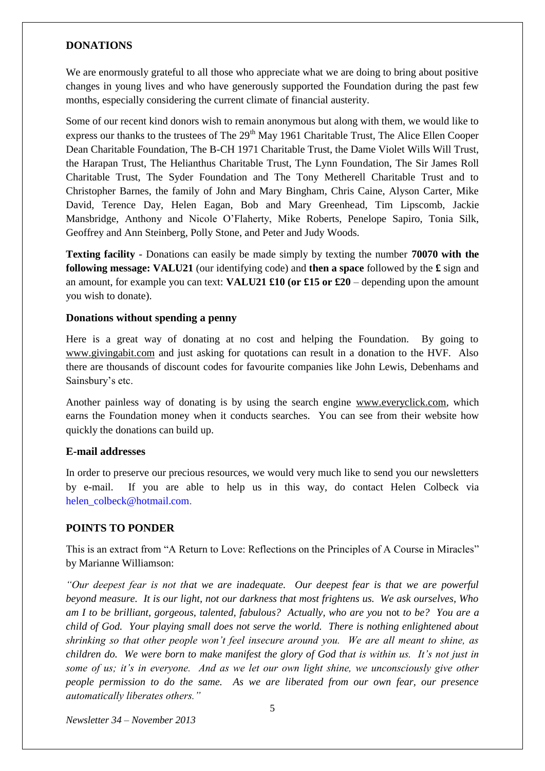#### **DONATIONS**

We are enormously grateful to all those who appreciate what we are doing to bring about positive changes in young lives and who have generously supported the Foundation during the past few months, especially considering the current climate of financial austerity.

Some of our recent kind donors wish to remain anonymous but along with them, we would like to express our thanks to the trustees of The 29<sup>th</sup> May 1961 Charitable Trust, The Alice Ellen Cooper Dean Charitable Foundation, The B-CH 1971 Charitable Trust, the Dame Violet Wills Will Trust, the Harapan Trust, The Helianthus Charitable Trust, The Lynn Foundation, The Sir James Roll Charitable Trust, The Syder Foundation and The Tony Metherell Charitable Trust and to Christopher Barnes, the family of John and Mary Bingham, Chris Caine, Alyson Carter, Mike David, Terence Day, Helen Eagan, Bob and Mary Greenhead, Tim Lipscomb, Jackie Mansbridge, Anthony and Nicole O'Flaherty, Mike Roberts, Penelope Sapiro, Tonia Silk, Geoffrey and Ann Steinberg, Polly Stone, and Peter and Judy Woods.

**Texting facility** - Donations can easily be made simply by texting the number **70070 with the following message: VALU21** (our identifying code) and **then a space** followed by the **£** sign and an amount, for example you can text: **VALU21 £10 (or £15 or £20** – depending upon the amount you wish to donate).

#### **Donations without spending a penny**

Here is a great way of donating at no cost and helping the Foundation. By going to [www.givingabit.com](http://www.givingabit.com/) and just asking for quotations can result in a donation to the HVF. Also there are thousands of discount codes for favourite companies like John Lewis, Debenhams and Sainsbury's etc.

Another painless way of donating is by using the search engine [www.everyclick.com,](http://www.everyclick.com/) which earns the Foundation money when it conducts searches. You can see from their website how quickly the donations can build up.

#### **E-mail addresses**

In order to preserve our precious resources, we would very much like to send you our newsletters by e-mail. If you are able to help us in this way, do contact Helen Colbeck via [helen\\_colbeck@hotmail.com.](mailto:helen_colbeck@hotmail.com)

#### **POINTS TO PONDER**

This is an extract from "A Return to Love: Reflections on the Principles of A Course in Miracles" by Marianne Williamson:

*"Our deepest fear is not that we are inadequate. Our deepest fear is that we are powerful beyond measure. It is our light, not our darkness that most frightens us. We ask ourselves, Who am I to be brilliant, gorgeous, talented, fabulous? Actually, who are you* not *to be? You are a child of God. Your playing small does not serve the world. There is nothing enlightened about shrinking so that other people won't feel insecure around you. We are all meant to shine, as children do. We were born to make manifest the glory of God that is within us. It's not just in some of us; it's in everyone. And as we let our own light shine, we unconsciously give other people permission to do the same. As we are liberated from our own fear, our presence automatically liberates others."* 

*Newsletter 34 – November 2013*